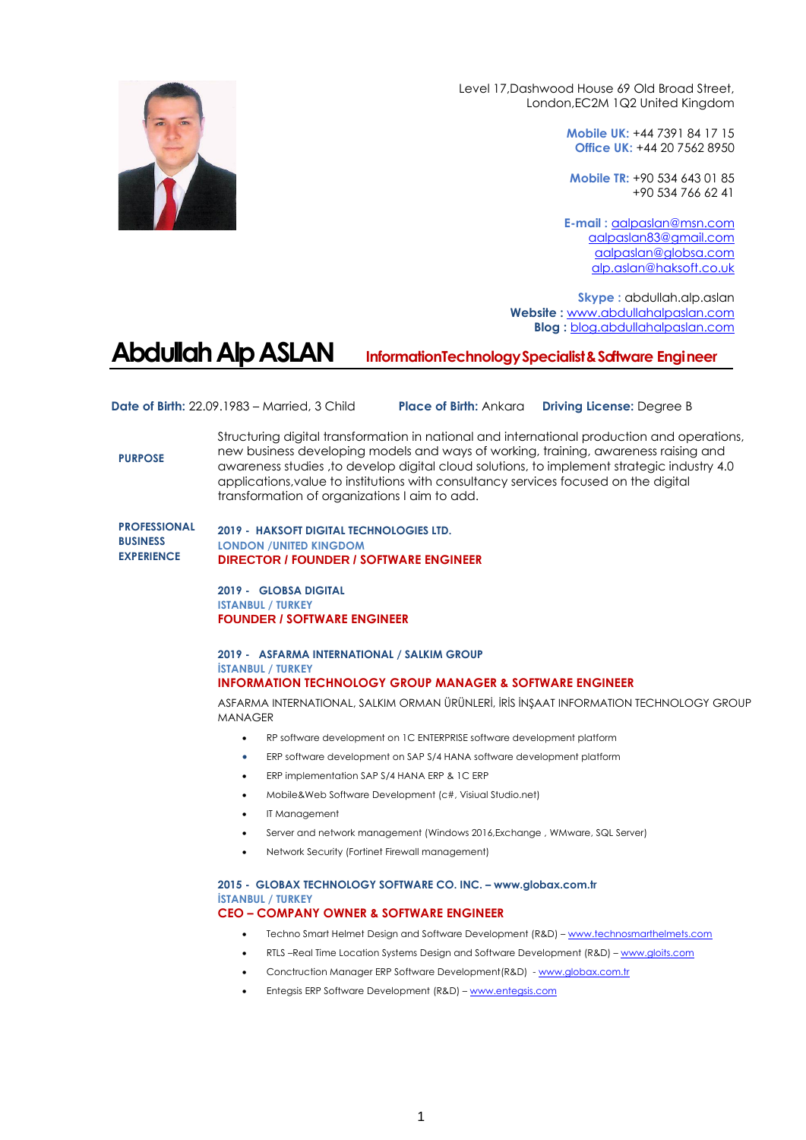Level 17,Dashwood House 69 Old Broad Street, London,EC2M 1Q2 United Kingdom

> **Mobile UK:** +44 7391 84 17 15 **Office UK:** +44 20 7562 8950

**Mobile TR:** +90 534 643 01 85 +90 534 766 62 41

**E-mail :** [aalpaslan@msn.com](mailto:aalpaslan@msn.com) [aalpaslan83@gmail.com](mailto:aalpaslan83@gmail.com) [aalpaslan@globsa.com](mailto:aalpaslan@globsa.com) alp.aslan@haksoft.co.uk

**Skype :** abdullah.alp.aslan **Website :** [www.abdullahalpaslan.com](http://www.abdullahalpaslan.com/) **Blog :** [blog.abdullahalpaslan.com](http://blog.abdullahalpaslan.com/)

# **Abdullah Alp ASLAN Information Technology Specialist & Saftware Engineer**

**Date of Birth:** 22.09.1983 – Married, 3 Child **Place of Birth:** Ankara **Driving License:** Degree B

**PURPOSE**

Structuring digital transformation in national and international production and operations, new business developing models and ways of working, training, awareness raising and awareness studies ,to develop digital cloud solutions, to implement strategic industry 4.0 applications,value to institutions with consultancy services focused on the digital transformation of organizations I aim to add.

#### **PROFESSIONAL BUSINESS EXPERIENCE 2019 - HAKSOFT DIGITAL TECHNOLOGIES LTD. LONDON /UNITED KINGDOM DIRECTOR / FOUNDER / SOFTWARE ENGINEER**

**2019 - GLOBSA DIGITAL ISTANBUL / TURKEY FOUNDER / SOFTWARE ENGINEER**

### **2019 - ASFARMA INTERNATIONAL / SALKIM GROUP İSTANBUL / TURKEY**

#### **INFORMATION TECHNOLOGY GROUP MANAGER & SOFTWARE ENGINEER**

ASFARMA INTERNATIONAL, SALKIM ORMAN ÜRÜNLERİ, İRİS İNŞAAT INFORMATION TECHNOLOGY GROUP MANAGER

- RP software development on 1C ENTERPRISE software development platform
- ERP software development on SAP S/4 HANA software development platform
- ERP implementation SAP S/4 HANA ERP & 1C ERP
- Mobile&Web Software Development (c#, Visiual Studio.net)
- IT Management
- Server and network management (Windows 2016,Exchange , WMware, SQL Server)
- Network Security (Fortinet Firewall management)

**2015 - GLOBAX TECHNOLOGY SOFTWARE CO. INC. – www.globax.com.tr İSTANBUL / TURKEY CEO – COMPANY OWNER & SOFTWARE ENGINEER**

- Techno Smart Helmet Design and Software Development (R&D) [www.technosmarthelmets.com](http://www.technosmarthelmets.com/)
- RTLS-Real Time Location Systems Design and Software Development (R&D) [www.gloits.com](http://www.gloits.com/)
- Conctruction Manager ERP Software Development(R&D) [www.globax.com.tr](http://www.globax.com.tr/)
- Entegsis ERP Software Development (R&D) [www.entegsis.com](http://www.entegsis.com/)

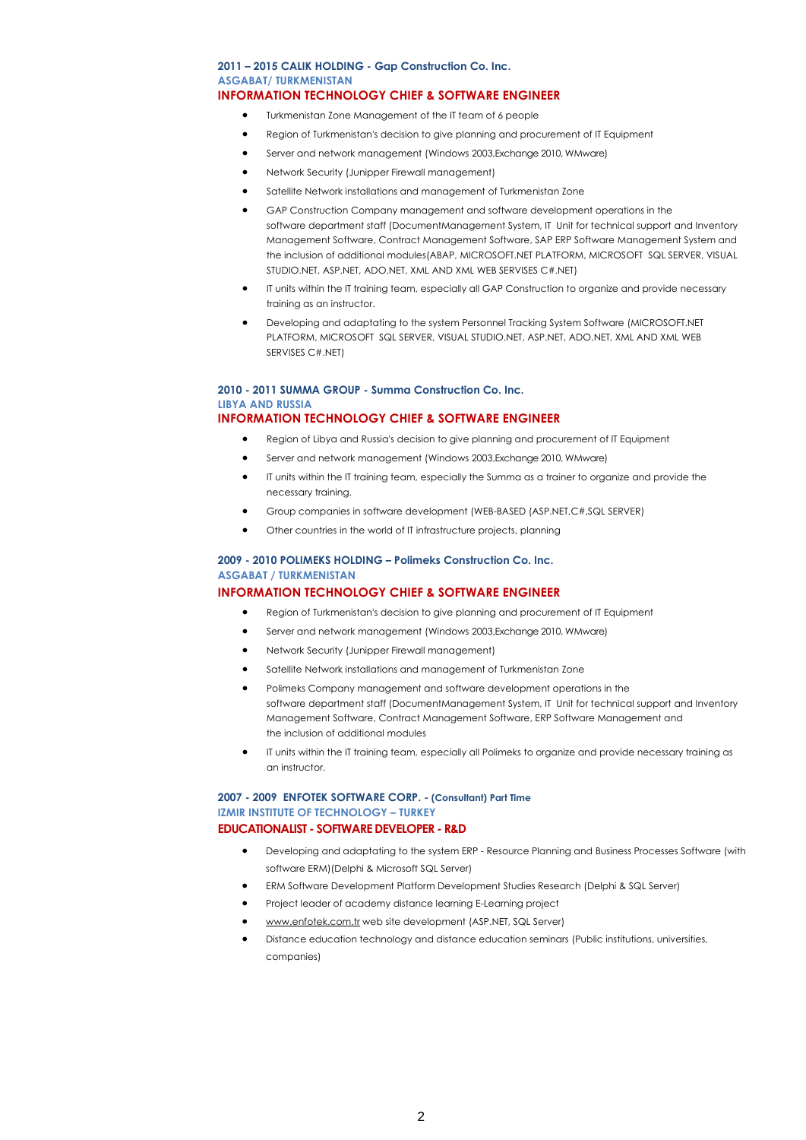#### **2011 – 2015 CALIK HOLDING - Gap Construction Co. Inc. ASGABAT/ TURKMENISTAN INFORMATION TECHNOLOGY CHIEF & SOFTWARE ENGINEER**

- Turkmenistan Zone Management of the IT team of 6 people
- Region of Turkmenistan's decision to give planning and procurement of IT Equipment
- Server and network management (Windows 2003,Exchange 2010, WMware)
- Network Security (Junipper Firewall management)
- Satellite Network installations and management of Turkmenistan Zone
- GAP Construction Company management and software development operations in the software department staff (DocumentManagement System, IT Unit for technical support and Inventory Management Software, Contract Management Software, SAP ERP Software Management System and the inclusion of additional modules(ABAP, MICROSOFT.NET PLATFORM, MICROSOFT SQL SERVER, VISUAL STUDIO.NET, ASP.NET, ADO.NET, XML AND XML WEB SERVISES C#.NET)
- IT units within the IT training team, especially all GAP Construction to organize and provide necessary training as an instructor.
- Developing and adaptating to the system Personnel Tracking System Software (MICROSOFT.NET PLATFORM, MICROSOFT SQL SERVER, VISUAL STUDIO.NET, ASP.NET, ADO.NET, XML AND XML WEB SERVISES C# NET)

#### **2010 - 2011 SUMMA GROUP - Summa Construction Co. Inc. LIBYA AND RUSSIA INFORMATION TECHNOLOGY CHIEF & SOFTWARE ENGINEER**

- Region of Libya and Russia's decision to give planning and procurement of IT Equipment
- Server and network management (Windows 2003,Exchange 2010, WMware)
- IT units within the IT training team, especially the Summa as a trainer to organize and provide the necessary training.
- Group companies in software development (WEB-BASED (ASP.NET,C#,SQL SERVER)
- Other countries in the world of IT infrastructure projects, planning

### **2009 - 2010 POLIMEKS HOLDING – Polimeks Construction Co. Inc. ASGABAT / TURKMENISTAN**

#### **INFORMATION TECHNOLOGY CHIEF & SOFTWARE ENGINEER**

- Region of Turkmenistan's decision to give planning and procurement of IT Equipment
	- Server and network management (Windows 2003,Exchange 2010, WMware)
- Network Security (Junipper Firewall management)
- Satellite Network installations and management of Turkmenistan Zone
- Polimeks Company management and software development operations in the software department staff (DocumentManagement System, IT Unit for technical support and Inventory Management Software, Contract Management Software, ERP Software Management and the inclusion of additional modules
- IT units within the IT training team, especially all Polimeks to organize and provide necessary training as an instructor.

#### **2007 - 2009 ENFOTEK SOFTWARE CORP. - (Consultant) Part Time IZMIR INSTITUTE OF TECHNOLOGY – TURKEY EDUCATIONALIST - SOFTWARE DEVELOPER - R&D**

- Developing and adaptating to the system ERP Resource Planning and Business Processes Software (with software ERM)(Delphi & Microsoft SQL Server)
- ERM Software Development Platform Development Studies Research (Delphi & SQL Server)
- Project leader of academy distance learning E-Learning project
- [www.enfotek.com.tr](http://www.enfotek.com.tr/) web site development (ASP.NET, SQL Server)
- Distance education technology and distance education seminars (Public institutions, universities, companies)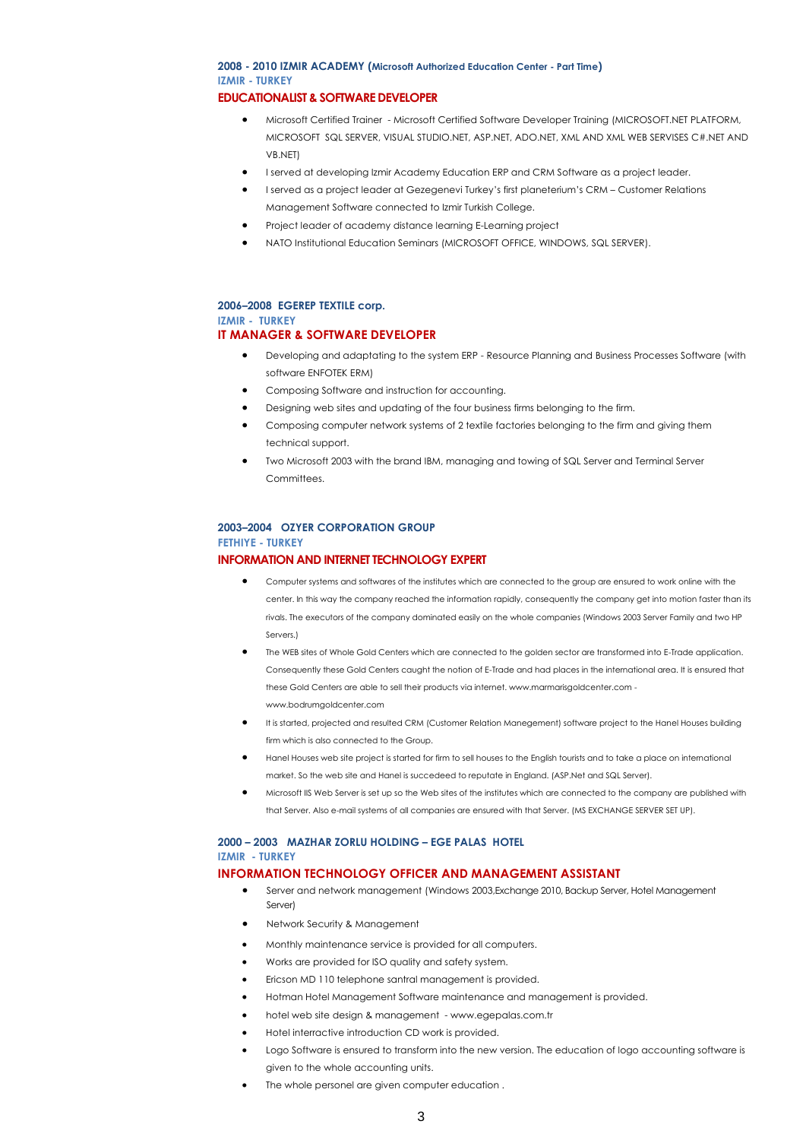#### **2008 - 2010 IZMIR ACADEMY (Microsoft Authorized Education Center - Part Time) IZMIR - TURKEY**

#### **EDUCATIONALIST & SOFTWARE DEVELOPER**

- Microsoft Certified Trainer Microsoft Certified Software Developer Training (MICROSOFT.NET PLATFORM, MICROSOFT SQL SERVER, VISUAL STUDIO.NET, ASP.NET, ADO.NET, XML AND XML WEB SERVISES C#.NET AND VB.NET)
- I served at developing Izmir Academy Education ERP and CRM Software as a project leader.
- I served as a project leader at Gezegenevi Turkey's first planeterium's CRM Customer Relations Management Software connected to Izmir Turkish College.
- Project leader of academy distance learning E-Learning project
- NATO Institutional Education Seminars (MICROSOFT OFFICE, WINDOWS, SQL SERVER).

#### **2006–2008 EGEREP TEXTILE corp. IZMIR - TURKEY IT MANAGER & SOFTWARE DEVELOPER**

- Developing and adaptating to the system ERP Resource Planning and Business Processes Software (with software ENFOTEK ERM)
- Composing Software and instruction for accounting.
- Designing web sites and updating of the four business firms belonging to the firm.
- Composing computer network systems of 2 textile factories belonging to the firm and giving them technical support.
- Two Microsoft 2003 with the brand IBM, managing and towing of SQL Server and Terminal Server Committees.

#### **2003–2004 OZYER CORPORATION GROUP FETHIYE - TURKEY INFORMATION AND INTERNET TECHNOLOGY EXPERT**

## • Computer systems and softwares of the institutes which are connected to the group are ensured to work online with the center. In this way the company reached the information rapidly, consequently the company get into motion faster than its

- rivals. The executors of the company dominated easily on the whole companies (Windows 2003 Server Family and two HP Servers.)
- The WEB sites of Whole Gold Centers which are connected to the golden sector are transformed into E-Trade application. Consequently these Gold Centers caught the notion of E-Trade and had places in the international area. It is ensured that these Gold Centers are able to sell their products via internet. www.marmarisgoldcenter.com
	- www.bodrumgoldcenter.com
- It is started, projected and resulted CRM (Customer Relation Manegement) software project to the Hanel Houses building firm which is also connected to the Group.
- Hanel Houses web site project is started for firm to sell houses to the English tourists and to take a place on international market. So the web site and Hanel is succedeed to reputate in England. (ASP.Net and SQL Server).
- Microsoft IIS Web Server is set up so the Web sites of the institutes which are connected to the company are published with that Server. Also e-mail systems of all companies are ensured with that Server. (MS EXCHANGE SERVER SET UP).

### **2000 – 2003 MAZHAR ZORLU HOLDING – EGE PALAS HOTEL IZMIR - TURKEY**

#### **INFORMATION TECHNOLOGY OFFICER AND MANAGEMENT ASSISTANT**

- Server and network management (Windows 2003,Exchange 2010, Backup Server, Hotel Management Server)
- Network Security & Management
- Monthly maintenance service is provided for all computers.
- Works are provided for ISO quality and safety system.
- Ericson MD 110 telephone santral management is provided.
- Hotman Hotel Management Software maintenance and management is provided.
- hotel web site design & management www.egepalas.com.tr
- Hotel interractive introduction CD work is provided.
- Logo Software is ensured to transform into the new version. The education of logo accounting software is given to the whole accounting units.
- The whole personel are given computer education.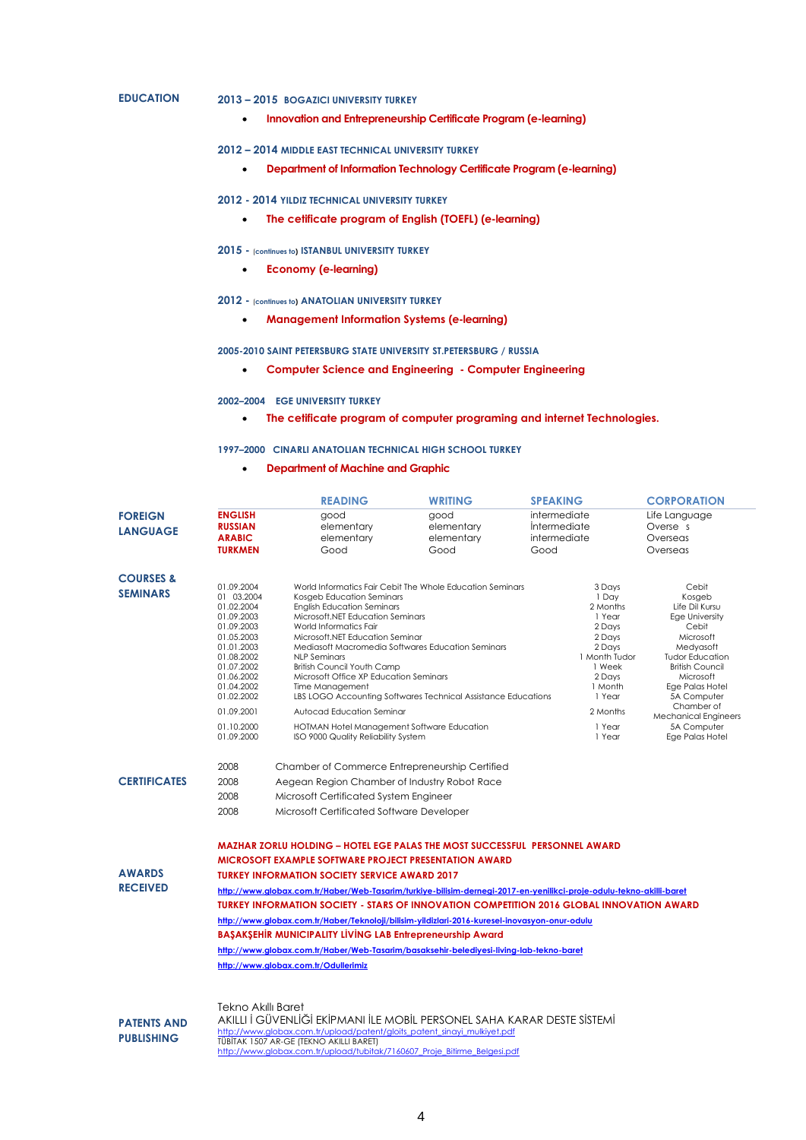#### **EDUCATION 2013 – 2015 BOGAZICI UNIVERSITY TURKEY**

• **Innovation and Entrepreneurship Certificate Program (e-learning)**

#### **2012 – 2014 MIDDLE EAST TECHNICAL UNIVERSITY TURKEY**

- **Department of Information Technology Certificate Program (e-learning)**
- **2012 - 2014 YILDIZ TECHNICAL UNIVERSITY TURKEY**
	- **The cetificate program of English (TOEFL) (e-learning)**
- **2015 -** (**continues to) ISTANBUL UNIVERSITY TURKEY**
	- **Economy (e-learning)**
- **2012 -** (**continues to) ANATOLIAN UNIVERSITY TURKEY**
	- **Management Information Systems (e-learning)**

#### **2005-2010 SAINT PETERSBURG STATE UNIVERSITY ST.PETERSBURG / RUSSIA**

• **Computer Science and Engineering - Computer Engineering**

**2002–2004 EGE UNIVERSITY TURKEY**

• **The cetificate program of computer programing and internet Technologies.**

#### **1997–2000 CINARLI ANATOLIAN TECHNICAL HIGH SCHOOL TURKEY**

#### • **Department of Machine and Graphic**

|                                         |                                                                                                                                                                                                                                                                                                                                                                                                                                                                                                                                                                                                                                                                                                                                       | <b>READING</b>                                                                                                                                                                                                                                                                                                                                                                                                                                                                                                                                                                                | <b>WRITING</b>                           | <b>SPEAKING</b>                                                                                                                                               | <b>CORPORATION</b>                                                                                                                                                                                                                                                              |
|-----------------------------------------|---------------------------------------------------------------------------------------------------------------------------------------------------------------------------------------------------------------------------------------------------------------------------------------------------------------------------------------------------------------------------------------------------------------------------------------------------------------------------------------------------------------------------------------------------------------------------------------------------------------------------------------------------------------------------------------------------------------------------------------|-----------------------------------------------------------------------------------------------------------------------------------------------------------------------------------------------------------------------------------------------------------------------------------------------------------------------------------------------------------------------------------------------------------------------------------------------------------------------------------------------------------------------------------------------------------------------------------------------|------------------------------------------|---------------------------------------------------------------------------------------------------------------------------------------------------------------|---------------------------------------------------------------------------------------------------------------------------------------------------------------------------------------------------------------------------------------------------------------------------------|
| <b>FOREIGN</b><br><b>LANGUAGE</b>       | <b>ENGLISH</b><br><b>RUSSIAN</b><br><b>ARABIC</b><br><b>TURKMEN</b>                                                                                                                                                                                                                                                                                                                                                                                                                                                                                                                                                                                                                                                                   | good<br>elementary<br>elementary<br>Good                                                                                                                                                                                                                                                                                                                                                                                                                                                                                                                                                      | aood<br>elementary<br>elementary<br>Good | intermediate<br>Intermediate<br>intermediate<br>Good                                                                                                          | Life Language<br>Overse s<br>Overseas<br>Overseas                                                                                                                                                                                                                               |
| <b>COURSES &amp;</b><br><b>SEMINARS</b> | 01.09.2004<br>01 03.2004<br>01.02.2004<br>01.09.2003<br>01.09.2003<br>01.05.2003<br>01.01.2003<br>01.08.2002<br>01.07.2002<br>01.06.2002<br>01.04.2002<br>01.02.2002<br>01.09.2001<br>01.10.2000<br>01.09.2000                                                                                                                                                                                                                                                                                                                                                                                                                                                                                                                        | World Informatics Fair Cebit The Whole Education Seminars<br>Kosgeb Education Seminars<br><b>English Education Seminars</b><br>Microsoft.NET Education Seminars<br>World Informatics Fair<br>Microsoft.NET Education Seminar<br>Mediasoft Macromedia Softwares Education Seminars<br><b>NLP Seminars</b><br><b>British Council Youth Camp</b><br>Microsoft Office XP Education Seminars<br>Time Management<br>LBS LOGO Accounting Softwares Technical Assistance Educations<br>Autocad Education Seminar<br>HOTMAN Hotel Management Software Education<br>ISO 9000 Quality Reliability System |                                          | 3 Days<br>1 Day<br>2 Months<br>1 Year<br>2 Days<br>2 Days<br>2 Days<br>1 Month Tudor<br>1 Week<br>2 Days<br>1 Month<br>1 Year<br>2 Months<br>1 Year<br>1 Year | Cebit<br>Kosgeb<br>Life Dil Kursu<br>Ege University<br>Cebit<br>Microsoft<br>Medyasoft<br><b>Tudor Education</b><br><b>British Council</b><br>Microsoft<br><b>Ege Palas Hotel</b><br>5A Computer<br>Chamber of<br><b>Mechanical Engineers</b><br>5A Computer<br>Ege Palas Hotel |
| <b>CERTIFICATES</b>                     | 2008<br>2008<br>2008<br>2008                                                                                                                                                                                                                                                                                                                                                                                                                                                                                                                                                                                                                                                                                                          | Chamber of Commerce Entrepreneurship Certified<br>Aegean Region Chamber of Industry Robot Race<br>Microsoft Certificated System Engineer<br>Microsoft Certificated Software Developer                                                                                                                                                                                                                                                                                                                                                                                                         |                                          |                                                                                                                                                               |                                                                                                                                                                                                                                                                                 |
| <b>AWARDS</b><br><b>RECEIVED</b>        | <b>MAZHAR ZORLU HOLDING – HOTEL EGE PALAS THE MOST SUCCESSFUL PERSONNEL AWARD</b><br><b>MICROSOFT EXAMPLE SOFTWARE PROJECT PRESENTATION AWARD</b><br><b>TURKEY INFORMATION SOCIETY SERVICE AWARD 2017</b><br>http://www.globax.com.tr/Haber/Web-Tasarim/turkiye-bilisim-dernegi-2017-en-yenilikci-proje-odulu-tekno-akilli-baret<br>TURKEY INFORMATION SOCIETY - STARS OF INNOVATION COMPETITION 2016 GLOBAL INNOVATION AWARD<br>http://www.globax.com.tr/Haber/Teknoloji/bilisim-yildizlari-2016-kuresel-inovasyon-onur-odulu<br><b>BAŞAKŞEHIR MUNICIPALITY LIVING LAB Entrepreneurship Award</b><br>http://www.globax.com.tr/Haber/Web-Tasarim/basaksehir-belediyesi-living-lab-tekno-baret<br>http://www.globax.com.tr/Odullerimiz |                                                                                                                                                                                                                                                                                                                                                                                                                                                                                                                                                                                               |                                          |                                                                                                                                                               |                                                                                                                                                                                                                                                                                 |
| <b>PATENTS AND</b><br><b>PUBLISHING</b> | <b>Tekno Akıllı Baret</b><br>AKILLI İ GÜVENLİĞİ EKİPMANI İLE MOBİL PERSONEL SAHA KARAR DESTE SİSTEMİ<br>http://www.globax.com.tr/upload/patent/gloits patent sinayi mulkiyet.pdf<br>TÜBİTAK 1507 AR-GE (TEKNO AKILLI BARET)<br>http://www.globax.com.tr/upload/tubitak/7160607 Proje Bitime Belgesi.pdf                                                                                                                                                                                                                                                                                                                                                                                                                               |                                                                                                                                                                                                                                                                                                                                                                                                                                                                                                                                                                                               |                                          |                                                                                                                                                               |                                                                                                                                                                                                                                                                                 |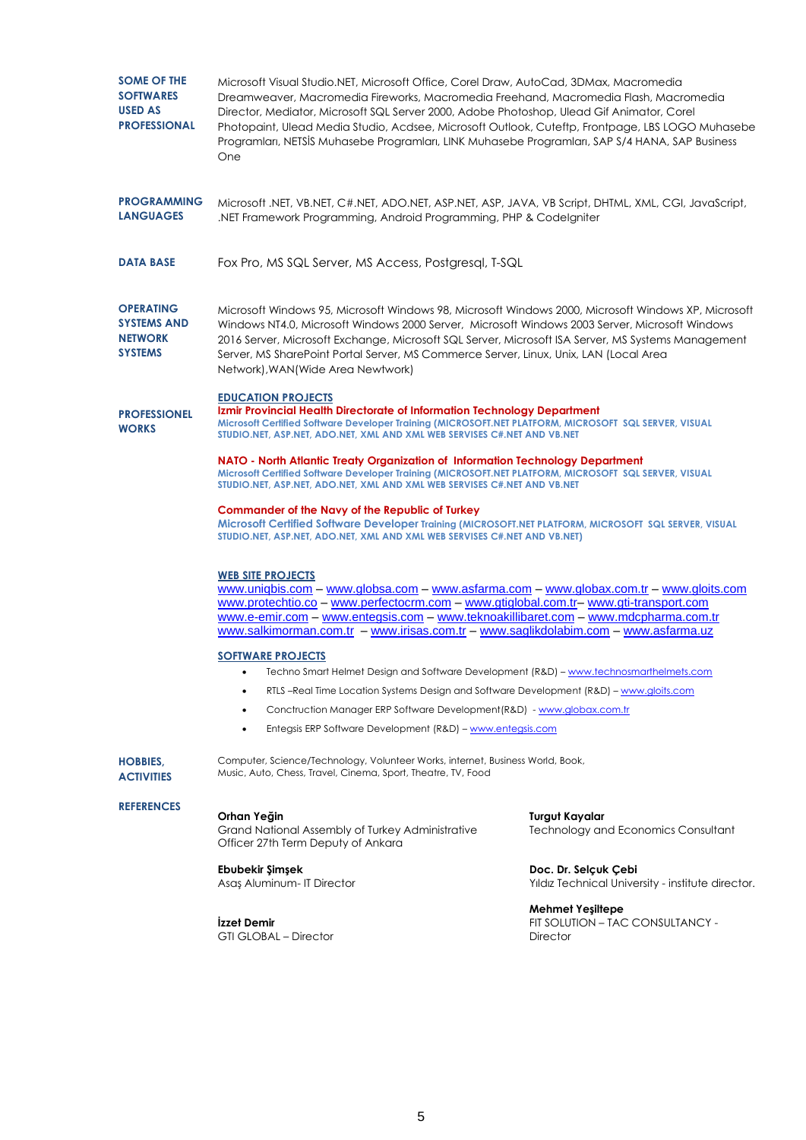| <b>SOME OF THE</b><br><b>SOFTWARES</b><br><b>USED AS</b><br><b>PROFESSIONAL</b> | Microsoft Visual Studio.NET, Microsoft Office, Corel Draw, AutoCad, 3DMax, Macromedia<br>Dreamweaver, Macromedia Fireworks, Macromedia Freehand, Macromedia Flash, Macromedia<br>Director, Mediator, Microsoft SQL Server 2000, Adobe Photoshop, Ulead Gif Animator, Corel<br>Photopaint, Ulead Media Studio, Acdsee, Microsoft Outlook, Cuteftp, Frontpage, LBS LOGO Muhasebe<br>Programları, NETSİS Muhasebe Programları, LINK Muhasebe Programları, SAP S/4 HANA, SAP Business<br>One                                                                                                                                                                                                                                                                                                                                                                                                                                                                                                                                                                                                                                                                                                                                         |                                                                                |  |  |  |
|---------------------------------------------------------------------------------|----------------------------------------------------------------------------------------------------------------------------------------------------------------------------------------------------------------------------------------------------------------------------------------------------------------------------------------------------------------------------------------------------------------------------------------------------------------------------------------------------------------------------------------------------------------------------------------------------------------------------------------------------------------------------------------------------------------------------------------------------------------------------------------------------------------------------------------------------------------------------------------------------------------------------------------------------------------------------------------------------------------------------------------------------------------------------------------------------------------------------------------------------------------------------------------------------------------------------------|--------------------------------------------------------------------------------|--|--|--|
| <b>PROGRAMMING</b><br><b>LANGUAGES</b>                                          | Microsoft .NET, VB.NET, C#.NET, ADO.NET, ASP.NET, ASP, JAVA, VB Script, DHTML, XML, CGI, JavaScript,<br>.NET Framework Programming, Android Programming, PHP & Codelgniter                                                                                                                                                                                                                                                                                                                                                                                                                                                                                                                                                                                                                                                                                                                                                                                                                                                                                                                                                                                                                                                       |                                                                                |  |  |  |
| <b>DATA BASE</b>                                                                | Fox Pro, MS SQL Server, MS Access, Postgresql, T-SQL                                                                                                                                                                                                                                                                                                                                                                                                                                                                                                                                                                                                                                                                                                                                                                                                                                                                                                                                                                                                                                                                                                                                                                             |                                                                                |  |  |  |
| <b>OPERATING</b><br><b>SYSTEMS AND</b><br><b>NETWORK</b><br><b>SYSTEMS</b>      | Microsoft Windows 95, Microsoft Windows 98, Microsoft Windows 2000, Microsoft Windows XP, Microsoft<br>Windows NT4.0, Microsoft Windows 2000 Server, Microsoft Windows 2003 Server, Microsoft Windows<br>2016 Server, Microsoft Exchange, Microsoft SQL Server, Microsoft ISA Server, MS Systems Management<br>Server, MS SharePoint Portal Server, MS Commerce Server, Linux, Unix, LAN (Local Area<br>Network), WAN(Wide Area Newtwork)                                                                                                                                                                                                                                                                                                                                                                                                                                                                                                                                                                                                                                                                                                                                                                                        |                                                                                |  |  |  |
| <b>PROFESSIONEL</b><br><b>WORKS</b>                                             | <b>EDUCATION PROJECTS</b><br>Izmir Provincial Health Directorate of Information Technology Department<br>Microsoft Certified Software Developer Training (MICROSOFT.NET PLATFORM, MICROSOFT SQL SERVER, VISUAL<br>STUDIO.NET, ASP.NET, ADO.NET, XML AND XML WEB SERVISES C#.NET AND VB.NET                                                                                                                                                                                                                                                                                                                                                                                                                                                                                                                                                                                                                                                                                                                                                                                                                                                                                                                                       |                                                                                |  |  |  |
|                                                                                 | NATO - North Atlantic Treaty Organization of Information Technology Department<br>Microsoft Certified Software Developer Training (MICROSOFT.NET PLATFORM, MICROSOFT SQL SERVER, VISUAL<br>STUDIO.NET, ASP.NET, ADO.NET, XML AND XML WEB SERVISES C#.NET AND VB.NET<br>Commander of the Navy of the Republic of Turkey<br>Microsoft Certified Software Developer Training (MICROSOFT.NET PLATFORM, MICROSOFT SQL SERVER, VISUAL<br>STUDIO.NET, ASP.NET, ADO.NET, XML AND XML WEB SERVISES C#.NET AND VB.NET)<br><b>WEB SITE PROJECTS</b><br>www.uniqbis.com - www.globsa.com - www.asfarma.com - www.globax.com.tr - www.gloits.com<br>www.protechtio.co - www.perfectocrm.com - www.gtiglobal.com.tr- www.gti-transport.com<br>www.e-emir.com - www.entegsis.com - www.teknoakillibaret.com - www.mdcpharma.com.tr<br>www.salkimorman.com.tr - www.irisas.com.tr - www.saglikdolabim.com - www.asfarma.uz<br><b>SOFTWARE PROJECTS</b><br>Techno Smart Helmet Design and Software Development (R&D) - www.technosmarthelmets.com<br>RTLS -Real Time Location Systems Design and Software Development (R&D) - www.gloits.com<br>$\bullet$<br>Conctruction Manager ERP Software Development (R&D) - www.globax.com.tr<br>$\bullet$ |                                                                                |  |  |  |
|                                                                                 |                                                                                                                                                                                                                                                                                                                                                                                                                                                                                                                                                                                                                                                                                                                                                                                                                                                                                                                                                                                                                                                                                                                                                                                                                                  |                                                                                |  |  |  |
|                                                                                 |                                                                                                                                                                                                                                                                                                                                                                                                                                                                                                                                                                                                                                                                                                                                                                                                                                                                                                                                                                                                                                                                                                                                                                                                                                  |                                                                                |  |  |  |
|                                                                                 |                                                                                                                                                                                                                                                                                                                                                                                                                                                                                                                                                                                                                                                                                                                                                                                                                                                                                                                                                                                                                                                                                                                                                                                                                                  |                                                                                |  |  |  |
|                                                                                 |                                                                                                                                                                                                                                                                                                                                                                                                                                                                                                                                                                                                                                                                                                                                                                                                                                                                                                                                                                                                                                                                                                                                                                                                                                  |                                                                                |  |  |  |
|                                                                                 |                                                                                                                                                                                                                                                                                                                                                                                                                                                                                                                                                                                                                                                                                                                                                                                                                                                                                                                                                                                                                                                                                                                                                                                                                                  |                                                                                |  |  |  |
|                                                                                 |                                                                                                                                                                                                                                                                                                                                                                                                                                                                                                                                                                                                                                                                                                                                                                                                                                                                                                                                                                                                                                                                                                                                                                                                                                  |                                                                                |  |  |  |
|                                                                                 | Entegsis ERP Software Development (R&D) - www.entegsis.com                                                                                                                                                                                                                                                                                                                                                                                                                                                                                                                                                                                                                                                                                                                                                                                                                                                                                                                                                                                                                                                                                                                                                                       |                                                                                |  |  |  |
| <b>HOBBIES,</b><br><b>ACTIVITIES</b>                                            | Computer, Science/Technology, Volunteer Works, internet, Business World, Book,<br>Music, Auto, Chess, Travel, Cinema, Sport, Theatre, TV, Food                                                                                                                                                                                                                                                                                                                                                                                                                                                                                                                                                                                                                                                                                                                                                                                                                                                                                                                                                                                                                                                                                   |                                                                                |  |  |  |
| <b>REFERENCES</b>                                                               | Orhan Yeğin<br>Grand National Assembly of Turkey Administrative<br>Officer 27th Term Deputy of Ankara                                                                                                                                                                                                                                                                                                                                                                                                                                                                                                                                                                                                                                                                                                                                                                                                                                                                                                                                                                                                                                                                                                                            | <b>Turgut Kayalar</b><br><b>Technology and Economics Consultant</b>            |  |  |  |
|                                                                                 | Ebubekir Şimşek<br>Asaş Aluminum- IT Director                                                                                                                                                                                                                                                                                                                                                                                                                                                                                                                                                                                                                                                                                                                                                                                                                                                                                                                                                                                                                                                                                                                                                                                    | Doc. Dr. Selçuk Çebi<br>Yıldız Technical University - institute director.      |  |  |  |
|                                                                                 | <i><b>Izzet Demir</b></i><br>GTI GLOBAL - Director                                                                                                                                                                                                                                                                                                                                                                                                                                                                                                                                                                                                                                                                                                                                                                                                                                                                                                                                                                                                                                                                                                                                                                               | <b>Mehmet Yeşiltepe</b><br>FIT SOLUTION - TAC CONSULTANCY -<br><b>Director</b> |  |  |  |